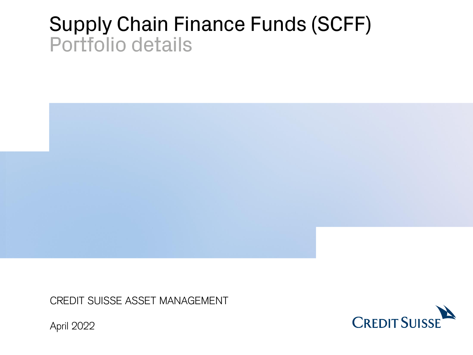# Supply Chain Finance Funds (SCFF) Portfolio details



CREDIT SUISSE ASSET MANAGEMENT



April 2022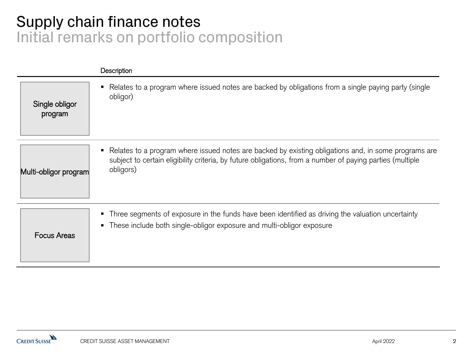## Supply chain finance notes Initial remarks on portfolio composition

|                           | Description                                                                                                                                                                                                                      |
|---------------------------|----------------------------------------------------------------------------------------------------------------------------------------------------------------------------------------------------------------------------------|
| Single obligor<br>program | Relates to a program where issued notes are backed by obligations from a single paying party (single<br>obligor)                                                                                                                 |
| Multi-obligor program     | • Relates to a program where issued notes are backed by existing obligations and, in some programs are<br>subject to certain eligibility criteria, by future obligations, from a number of paying parties (multiple<br>obligors) |
| <b>Focus Areas</b>        | • Three segments of exposure in the funds have been identified as driving the valuation uncertainty<br>• These include both single-obligor exposure and multi-obligor exposure                                                   |

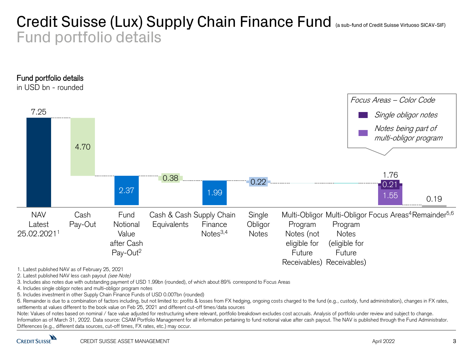## Credit Suisse (Lux) Supply Chain Finance Fund (a sub-fund of Credit Suisse Virtuoso SICAV-SIF) Fund portfolio details



2. Latest published NAV less cash payout (see Note)

3. Includes also notes due with outstanding payment of USD 1.99bn (rounded), of which about 89% correspond to Focus Areas

4. Includes single obligor notes and multi-obligor program notes

5. Includes investment in other Supply Chain Finance Funds of USD 0.007bn (rounded)

6. Remainder is due to a combination of factors including, but not limited to: profits & losses from FX hedging, ongoing costs charged to the fund (e.g., custody, fund administration), changes in FX rates, settlements at values different to the book value on Feb 25, 2021 and different cut-off times/data sources

1. Latest published NAV as of February 25, 2021<br>
2. Latest published NAV less cash payout *(see Note)*<br>
3. Includes also notes due with outstanding payment of USD 1.99bn (rc<br>
4. Includes single obligor notes and multi-obli Note: Values of notes based on nominal / face value adjusted for restructuring where relevant, portfolio breakdown excludes cost accruals. Analysis of portfolio under review and subject to change. Information as of March 31, 2022. Data source: CSAM Portfolio Management for all information pertaining to fund notional value after cash payout. The NAV is published through the Fund Administrator. Differences (e.g., different data sources, cut-off times, FX rates, etc.) may occur.

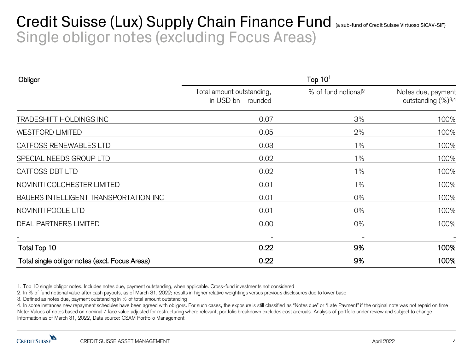## Credit Suisse (Lux) Supply Chain Finance Fund (a sub-fund of Credit Suisse Virtuoso SICAV-SIF) Single obligor notes (excluding Focus Areas)

| Obligor                                        | Top $101$                                        |                                 |                                                      |  |
|------------------------------------------------|--------------------------------------------------|---------------------------------|------------------------------------------------------|--|
|                                                | Total amount outstanding,<br>in USD bn - rounded | % of fund notional <sup>2</sup> | Notes due, payment<br>outstanding (%) <sup>3,4</sup> |  |
| TRADESHIFT HOLDINGS INC                        | 0.07                                             | 3%                              | 100%                                                 |  |
| <b>WESTFORD LIMITED</b>                        | 0.05                                             | 2%                              | 100%                                                 |  |
| CATFOSS RENEWABLES LTD                         | 0.03                                             | 1%                              | 100%                                                 |  |
| SPECIAL NEEDS GROUP LTD                        | 0.02                                             | $1\%$                           | 100%                                                 |  |
| CATFOSS DBT LTD                                | 0.02                                             | 1%                              | 100%                                                 |  |
| NOVINITI COLCHESTER LIMITED                    | 0.01                                             | $1\%$                           | 100%                                                 |  |
| BAUERS INTELLIGENT TRANSPORTATION INC          | 0.01                                             | 0%                              | 100%                                                 |  |
| NOVINITI POOLE LTD                             | 0.01                                             | 0%                              | 100%                                                 |  |
| <b>DEAL PARTNERS LIMITED</b>                   | 0.00                                             | 0%                              | 100%                                                 |  |
|                                                |                                                  |                                 |                                                      |  |
| Total Top 10                                   | 0.22                                             | 9%                              | 100%                                                 |  |
| Total single obligor notes (excl. Focus Areas) | 0.22                                             | 9%                              | 100%                                                 |  |

2. In % of fund notional value after cash payouts, as of March 31, 2022; results in higher relative weightings versus previous disclosures due to lower base

3. Defined as notes due, payment outstanding in % of total amount outstanding

1. Top 10 single obligor notes. Includes notes due, payment outstanding, when applicable. Cross-fund investments not considered<br>
2. In % of fund notional value after cash payouts, as of March 31, 2022; results in higher re 4. In some instances new repayment schedules have been agreed with obligors. For such cases, the exposure is still classified as "Notes due" or "Late Payment" if the original note was not repaid on time Note: Values of notes based on nominal / face value adjusted for restructuring where relevant, portfolio breakdown excludes cost accruals. Analysis of portfolio under review and subject to change. Information as of March 31, 2022, Data source: CSAM Portfolio Management

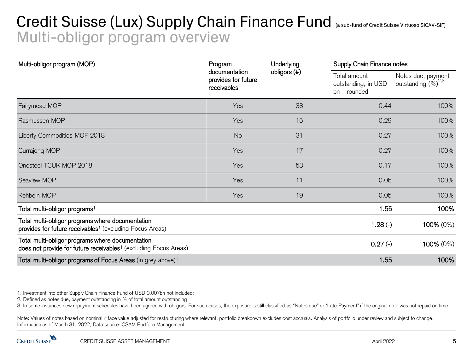## Credit Suisse (Lux) Supply Chain Finance Fund (a sub-fund of Credit Suisse Virtuoso SICAV-SIF) Multi-obligor program overview

| Multi-obligor program (MOP)                                                                                                      | Program                                             | Underlying   | Supply Chain Finance notes                          |                                                |
|----------------------------------------------------------------------------------------------------------------------------------|-----------------------------------------------------|--------------|-----------------------------------------------------|------------------------------------------------|
|                                                                                                                                  | documentation<br>provides for future<br>receivables | obligors (#) | Total amount<br>outstanding, in USD<br>bn – rounded | Notes due, payment<br>outstanding $(\%)^{2,3}$ |
| Fairymead MOP                                                                                                                    | Yes                                                 | 33           | 0.44                                                | 100%                                           |
| Rasmussen MOP                                                                                                                    | Yes                                                 | 15           | 0.29                                                | 100%                                           |
| Liberty Commodities MOP 2018                                                                                                     | <b>No</b>                                           | 31           | 0.27                                                | 100%                                           |
| Currajong MOP                                                                                                                    | Yes                                                 | 17           | 0.27                                                | 100%                                           |
| Onesteel TCUK MOP 2018                                                                                                           | Yes                                                 | 53           | 0.17                                                | 100%                                           |
| Seaview MOP                                                                                                                      | Yes                                                 | 11           | 0.06                                                | 100%                                           |
| Rehbein MOP                                                                                                                      | Yes                                                 | 19           | 0.05                                                | 100%                                           |
| Total multi-obligor programs <sup>1</sup>                                                                                        |                                                     |              | 1.55                                                | 100%                                           |
| Total multi-obligor programs where documentation<br>provides for future receivables <sup>1</sup> (excluding Focus Areas)         |                                                     |              | $1.28(-)$                                           | 100% (0%)                                      |
| Total multi-obligor programs where documentation<br>does not provide for future receivables <sup>1</sup> (excluding Focus Areas) |                                                     |              | $0.27(-)$                                           | 100% (0%)                                      |
| Total multi-obligor programs of Focus Areas (in grey above) <sup>1</sup>                                                         |                                                     |              | 1.55                                                | 100%                                           |

1. Investment into other Supply Chain Finance Fund of USD 0.007bn not included;

2. Defined as notes due, payment outstanding in % of total amount outstanding

3. In some instances new repayment schedules have been agreed with obligors. For such cases, the exposure is still classified as "Notes due" or "Late Payment" if the original note was not repaid on time

Note: Values of notes based on nominal / face value adjusted for restructuring where relevant, portfolio breakdown excludes cost accruals. Analysis of portfolio under review and subject to change. Information as of March 31, 2022, Data source: CSAM Portfolio Management

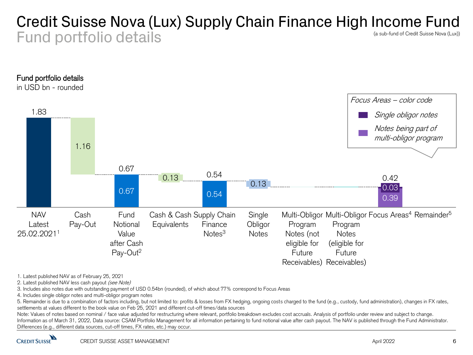### Credit Suisse Nova (Lux) Supply Chain Finance High Income Fund Fund portfolio details (a sub-fund of Credit Suisse Nova (Lux))



1. Latest published NAV as of February 25, 2021

2. Latest published NAV less cash payout (see Note)

3. Includes also notes due with outstanding payment of USD 0.54bn (rounded), of which about 77% correspond to Focus Areas

4. Includes single obligor notes and multi-obligor program notes

5. Remainder is due to a combination of factors including, but not limited to: profits & losses from FX hedging, ongoing costs charged to the fund (e.g., custody, fund administration), changes in FX rates, settlements at values different to the book value on Feb 25, 2021 and different cut-off times/data sources

Note: Values of notes based on nominal / face value adjusted for restructuring where relevant, portfolio breakdown excludes cost accruals. Analysis of portfolio under review and subject to change. Information as of March 31, 2022, Data source: CSAM Portfolio Management for all information pertaining to fund notional value after cash payout. The NAV is published through the Fund Administrator. Differences (e.g., different data sources, cut-off times, FX rates, etc.) may occur.

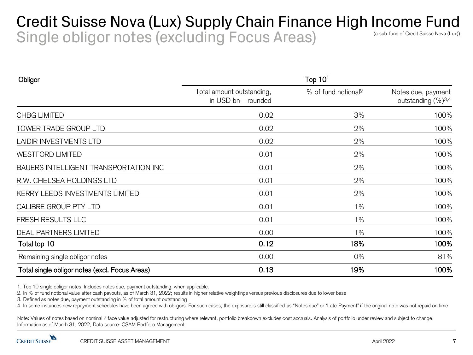### Credit Suisse Nova (Lux) Supply Chain Finance High Income Fund Single obligor notes (excluding Focus Areas) (a sub-fund of Credit Suisse Nova (Lux))

| Obligor                                        | Top $101$                                        |                                 |                                                      |  |
|------------------------------------------------|--------------------------------------------------|---------------------------------|------------------------------------------------------|--|
|                                                | Total amount outstanding,<br>in USD bn - rounded | % of fund notional <sup>2</sup> | Notes due, payment<br>outstanding (%) <sup>3,4</sup> |  |
| <b>CHBG LIMITED</b>                            | 0.02                                             | 3%                              | 100%                                                 |  |
| TOWER TRADE GROUP LTD                          | 0.02                                             | 2%                              | 100%                                                 |  |
| <b>LAIDIR INVESTMENTS LTD</b>                  | 0.02                                             | 2%                              | 100%                                                 |  |
| <b>WESTFORD LIMITED</b>                        | 0.01                                             | 2%                              | 100%                                                 |  |
| BAUERS INTELLIGENT TRANSPORTATION INC          | 0.01                                             | 2%                              | 100%                                                 |  |
| R.W. CHELSEA HOLDINGS LTD                      | 0.01                                             | 2%                              | 100%                                                 |  |
| KERRY LEEDS INVESTMENTS LIMITED                | 0.01                                             | 2%                              | 100%                                                 |  |
| CALIBRE GROUP PTY LTD                          | 0.01                                             | $1\%$                           | 100%                                                 |  |
| FRESH RESULTS LLC                              | 0.01                                             | 1%                              | 100%                                                 |  |
| <b>DEAL PARTNERS LIMITED</b>                   | 0.00                                             | 1%                              | 100%                                                 |  |
| Total top 10                                   | 0.12                                             | 18%                             | 100%                                                 |  |
| Remaining single obligor notes                 | 0.00                                             | 0%                              | 81%                                                  |  |
| Total single obligor notes (excl. Focus Areas) | 0.13                                             | 19%                             | 100%                                                 |  |

1. Top 10 single obligor notes. Includes notes due, payment outstanding, when applicable.

2. In % of fund notional value after cash payouts, as of March 31, 2022; results in higher relative weightings versus previous disclosures due to lower base

3. Defined as notes due, payment outstanding in % of total amount outstanding

4. In some instances new repayment schedules have been agreed with obligors. For such cases, the exposure is still classified as "Notes due" or "Late Payment" if the original note was not repaid on time

Note: Values of notes based on nominal / face value adjusted for restructuring where relevant, portfolio breakdown excludes cost accruals. Analysis of portfolio under review and subject to change. Information as of March 31, 2022, Data source: CSAM Portfolio Management

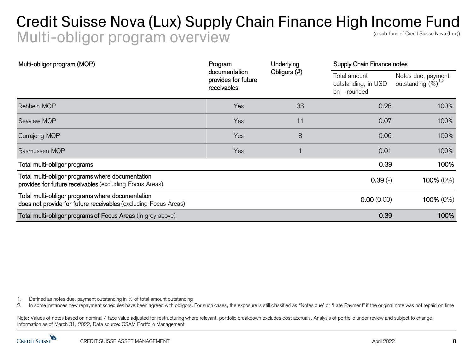### Credit Suisse Nova (Lux) Supply Chain Finance High Income Fund Multi-obligor program overview (a sub-fund of Credit Suisse Nova (Lux))

| Multi-obligor program (MOP)                                                                                         | Program                                             | Underlying   | Supply Chain Finance notes                          |                                        |
|---------------------------------------------------------------------------------------------------------------------|-----------------------------------------------------|--------------|-----------------------------------------------------|----------------------------------------|
|                                                                                                                     | documentation<br>provides for future<br>receivables | Obligors (#) | Total amount<br>outstanding, in USD<br>bn - rounded | Notes due, payment<br>outstanding (%)" |
| Rehbein MOP                                                                                                         | Yes                                                 | 33           | 0.26                                                | 100%                                   |
| Seaview MOP                                                                                                         | Yes                                                 | 11           | 0.07                                                | 100%                                   |
| <b>Currajong MOP</b>                                                                                                | Yes                                                 | 8            | 0.06                                                | 100%                                   |
| Rasmussen MOP                                                                                                       | Yes                                                 |              | 0.01                                                | 100%                                   |
| Total multi-obligor programs                                                                                        |                                                     |              | 0.39                                                | 100%                                   |
| Total multi-obligor programs where documentation<br>provides for future receivables (excluding Focus Areas)         |                                                     |              | $0.39(-)$                                           | 100% (0%)                              |
| Total multi-obligor programs where documentation<br>does not provide for future receivables (excluding Focus Areas) |                                                     |              | 0.00(0.00)                                          | 100% (0%)                              |
| Total multi-obligor programs of Focus Areas (in grey above)                                                         |                                                     |              | 0.39                                                | 100%                                   |

1. Defined as notes due, payment outstanding in % of total amount outstanding

2. In some instances new repayment schedules have been agreed with obligors. For such cases, the exposure is still classified as "Notes due" or "Late Payment" if the original note was not repaid on time

Note: Values of notes based on nominal / face value adjusted for restructuring where relevant, portfolio breakdown excludes cost accruals. Analysis of portfolio under review and subject to change. Information as of March 31, 2022, Data source: CSAM Portfolio Management

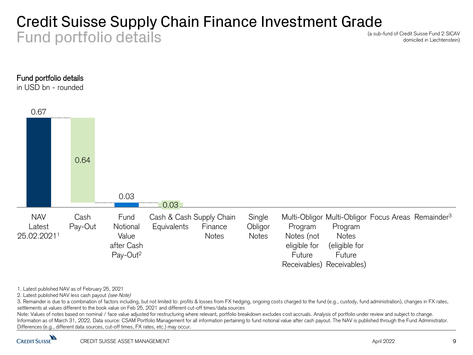### Credit Suisse Supply Chain Finance Investment Grade Fund portfolio details

(a sub-fund of Credit Suisse Fund 2 SICAV domiciled in Liechtenstein)



in USD bn - rounded



1. Latest published NAV as of February 25, 2021

2. Latest published NAV less cash payout (see Note)

3. Remainder is due to a combination of factors including, but not limited to: profits & losses from FX hedging, ongoing costs charged to the fund (e.g., custody, fund administration), changes in FX rates, settlements at values different to the book value on Feb 25, 2021 and different cut-off times/data sources

Note: Values of notes based on nominal / face value adjusted for restructuring where relevant, portfolio breakdown excludes cost accruals. Analysis of portfolio under review and subject to change. Information as of March 31, 2022, Data source: CSAM Portfolio Management for all information pertaining to fund notional value after cash payout. The NAV is published through the Fund Administrator. Differences (e.g., different data sources, cut-off times, FX rates, etc.) may occur.

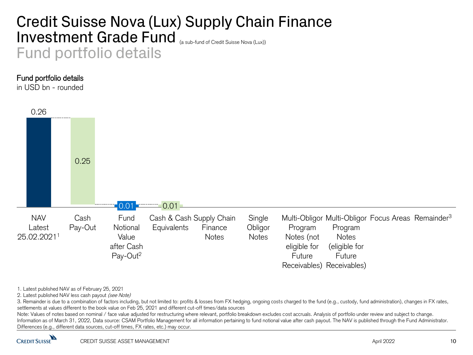## Credit Suisse Nova (Lux) Supply Chain Finance Investment Grade Fund (a sub-fund of Credit Suisse Nova (Lux)) Fund portfolio details

#### Fund portfolio details

in USD bn - rounded



#### 1. Latest published NAV as of February 25, 2021

2. Latest published NAV less cash payout (see Note)

3. Remainder is due to a combination of factors including, but not limited to: profits & losses from FX hedging, ongoing costs charged to the fund (e.g., custody, fund administration), changes in FX rates, settlements at values different to the book value on Feb 25, 2021 and different cut-off times/data sources

Note: Values of notes based on nominal / face value adjusted for restructuring where relevant, portfolio breakdown excludes cost accruals. Analysis of portfolio under review and subject to change. Information as of March 31, 2022, Data source: CSAM Portfolio Management for all information pertaining to fund notional value after cash payout. The NAV is published through the Fund Administrator. Differences (e.g., different data sources, cut-off times, FX rates, etc.) may occur.